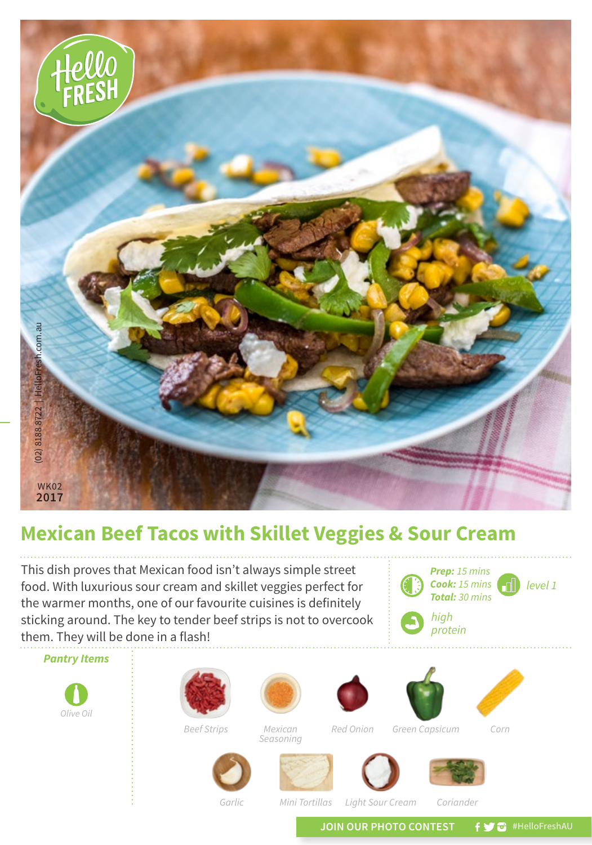

## **Mexican Beef Tacos with Skillet Veggies & Sour Cream**

This dish proves that Mexican food isn't always simple street food. With luxurious sour cream and skillet veggies perfect for the warmer months, one of our favourite cuisines is definitely sticking around. The key to tender beef strips is not to overcook them. They will be done in a flash!

*Pantry Items Olive Oil Beef Strips Red Onion Corn Mexican Seasoning Green Capsicum*











*Prep: 15 mins Cook: 15 mins Total: 30 mins*

*high protein*

*Garlic*

*Mini Tortillas*

*Light Sour Cream Coriander*

JOIN OUR PHOTO CONTEST **fy @** #HelloFreshAU

*level 1*